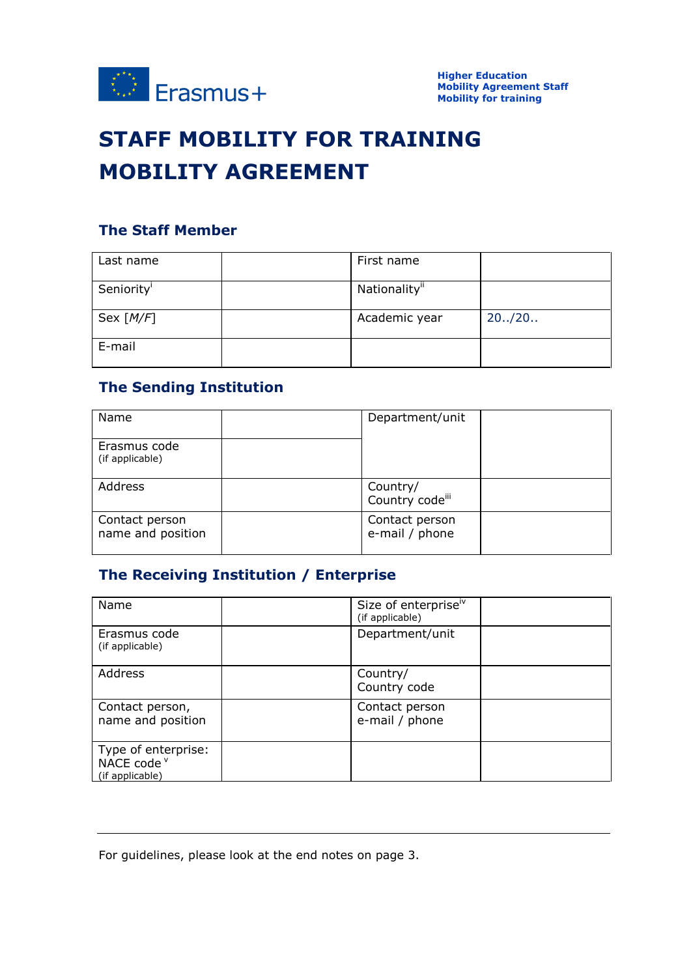

# **STAFF MOBILITY FOR TRAINING MOBILITY AGREEMENT**

# **The Staff Member**

| Last name   | First name                |         |
|-------------|---------------------------|---------|
| Seniority   | Nationality <sup>ii</sup> |         |
| Sex $[M/F]$ | Academic year             | 20.720. |
| E-mail      |                           |         |

### **The Sending Institution**

| Name                                | Department/unit                  |  |
|-------------------------------------|----------------------------------|--|
| Erasmus code<br>(if applicable)     |                                  |  |
| Address                             | Country/<br>Country codeili      |  |
| Contact person<br>name and position | Contact person<br>e-mail / phone |  |

# **The Receiving Institution / Enterprise**

| Name                                                  | Size of enterpriseiv<br>(if applicable) |
|-------------------------------------------------------|-----------------------------------------|
| Erasmus code<br>(if applicable)                       | Department/unit                         |
| Address                                               | Country/<br>Country code                |
| Contact person,<br>name and position                  | Contact person<br>e-mail / phone        |
| Type of enterprise:<br>NACE code v<br>(if applicable) |                                         |

For guidelines, please look at the end notes on page 3.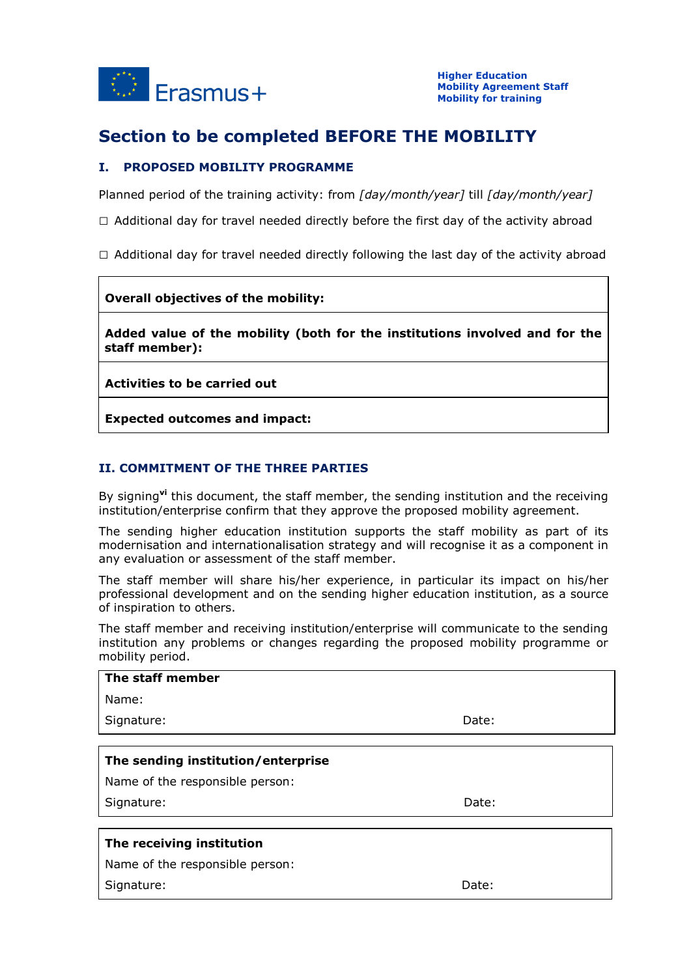

# **Section to be completed BEFORE THE MOBILITY**

### **I. PROPOSED MOBILITY PROGRAMME**

Planned period of the training activity: from *[day/month/year]* till *[day/month/year]*

- $\Box$  Additional day for travel needed directly before the first day of the activity abroad
- $\Box$  Additional day for travel needed directly following the last day of the activity abroad

#### **Overall objectives of the mobility:**

**Added value of the mobility (both for the institutions involved and for the staff member):**

**Activities to be carried out**

**Expected outcomes and impact:**

### **II. COMMITMENT OF THE THREE PARTIES**

By signing**vi** this document, the staff member, the sending institution and the receiving institution/enterprise confirm that they approve the proposed mobility agreement.

The sending higher education institution supports the staff mobility as part of its modernisation and internationalisation strategy and will recognise it as a component in any evaluation or assessment of the staff member.

The staff member will share his/her experience, in particular its impact on his/her professional development and on the sending higher education institution, as a source of inspiration to others.

The staff member and receiving institution/enterprise will communicate to the sending institution any problems or changes regarding the proposed mobility programme or mobility period.

| The staff member                   |       |  |  |  |
|------------------------------------|-------|--|--|--|
| Name:                              |       |  |  |  |
| Signature:                         | Date: |  |  |  |
|                                    |       |  |  |  |
| The sending institution/enterprise |       |  |  |  |
| Name of the responsible person:    |       |  |  |  |
| Signature:                         | Date: |  |  |  |
|                                    |       |  |  |  |
| The receiving institution          |       |  |  |  |
| Name of the responsible person:    |       |  |  |  |
| Signature:                         | Date: |  |  |  |